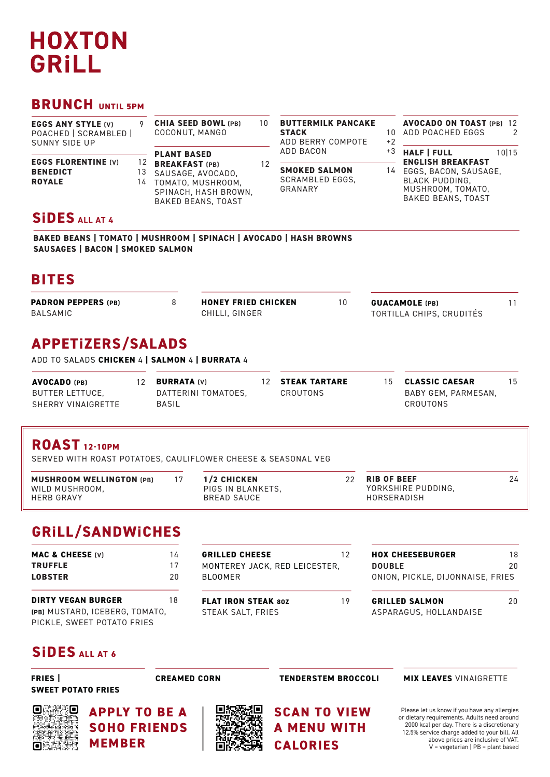# **HOXTON GRILL**

### **BRUNCH UNTIL 5PM**

| <b>EGGS ANY STYLE (V)</b><br>POACHED   SCRAMBLED  <br><b>SUNNY SIDE UP</b> |  | <b>CHIA SEED BOWL (PB)</b><br>COCONUT, MANGO                                                                                                          | 10 | <b>BUTTERMILK PANCAKE</b><br><b>STACK</b><br>ADD BERRY COMPOTE         |            | <b>AVOCADO ON TOAST (PB) 12</b><br>ADD POACHED EGGS<br>$\mathcal{P}$                                                                                        |
|----------------------------------------------------------------------------|--|-------------------------------------------------------------------------------------------------------------------------------------------------------|----|------------------------------------------------------------------------|------------|-------------------------------------------------------------------------------------------------------------------------------------------------------------|
| <b>EGGS FLORENTINE (V)</b><br><b>BENEDICT</b><br><b>ROYALE</b>             |  | <b>PLANT BASED</b><br>12<br><b>BREAKFAST (PB)</b><br>13<br>SAUSAGE, AVOCADO.<br>14<br>TOMATO, MUSHROOM,<br>SPINACH, HASH BROWN,<br>BAKED BEANS, TOAST |    | ADD BACON<br><b>SMOKED SALMON</b><br><b>SCRAMBLED EGGS.</b><br>GRANARY | $+3$<br>14 | <b>HALF   FULL</b><br>10 15<br><b>ENGLISH BREAKFAST</b><br>EGGS, BACON, SAUSAGE,<br><b>BLACK PUDDING.</b><br>MUSHROOM, TOMATO,<br><b>BAKED BEANS, TOAST</b> |
| <b>SIDES ALL AT 4</b>                                                      |  |                                                                                                                                                       |    |                                                                        |            |                                                                                                                                                             |

### **SiDES ALL AT 4**

**BAKED BEANS | TOMATO | MUSHROOM | SPINACH | AVOCADO | HASH BROWNS SAUSAGES | BACON | SMOKED SALMON**

## **BITES**

| <b>PADRON PEPPERS (PB)</b> | <b>HONEY FRIED CHICKEN</b> | <b>GUACAMOLE</b> (PB)    |  |
|----------------------------|----------------------------|--------------------------|--|
| <b>BALSAMIC</b>            | CHILLI. GINGER             | TORTILLA CHIPS, CRUDITÉS |  |

### **APPETiZERS/SALADS**

ADD TO SALADS **CHICKEN** 4 **| SALMON** 4 **| BURRATA** 4

| <b>AVOCADO</b> (PB) | <b>BURRATA (V)</b>  | 12 STEAK TARTARE | 15. | <b>CLASSIC CAESAR</b> |  |
|---------------------|---------------------|------------------|-----|-----------------------|--|
| BUTTER LETTUCE,     | DATTERINI TOMATOES. | CROUTONS         |     | BABY GEM, PARMESAN,   |  |
| SHERRY VINAIGRETTE  | BASIL               |                  |     | CROUTONS              |  |

### **ROAST 12-10PM**

SERVED WITH ROAST POTATOES, CAULIFLOWER CHEESE & SEASONAL VEG

| <b>MUSHROOM WELLINGTON (PB)</b>     | 1/2 CHICKEN                      | <b>RIB OF BEEF</b>                | 24 |
|-------------------------------------|----------------------------------|-----------------------------------|----|
| WILD MUSHROOM,<br><b>HERB GRAVY</b> | PIGS IN BLANKETS.<br>BREAD SAUCE | YORKSHIRE PUDDING,<br>HORSERADISH |    |

## **GRiLL/SANDWiCHES**

| <b>MAC &amp; CHEESE (V)</b><br><b>TRUFFLE</b><br><b>LOBSTER</b>                           | 14<br>17<br>20 | <b>GRILLED CHEESE</b><br>MONTEREY JACK, RED LEICESTER,<br><b>BLOOMER</b> | 12 | <b>HOX CHEESEBURGER</b><br><b>DOUBLE</b><br>ONION, PICKLE, DIJONNAISE, FRIES | 18<br>20 |
|-------------------------------------------------------------------------------------------|----------------|--------------------------------------------------------------------------|----|------------------------------------------------------------------------------|----------|
| <b>DIRTY VEGAN BURGER</b><br>(PB) MUSTARD, ICEBERG, TOMATO.<br>PICKLE, SWEET POTATO FRIES | 18             | <b>FLAT IRON STEAK 80Z</b><br>STEAK SALT, FRIES                          | 19 | <b>GRILLED SALMON</b><br>ASPARAGUS, HOLLANDAISE                              | 20       |

### **SiDES ALL AT 6**

**FRIES | SWEET POTATO FRIES**

**CREAMED CORN** 

**SCAN TO VIEW A MENU WITH**

**CALORIES**

### **TENDERSTEM BROCCOLI MIX LEAVES** VINAIGRETTE

Please let us know if you have any allergies or dietary requirements. Adults need around 2000 kcal per day. There is a discretionary 12.5% service charge added to your bill. All above prices are inclusive of VAT. V = vegetarian | PB = plant based



**APPLY TO BE A SOHO FRIENDS MEMBER**